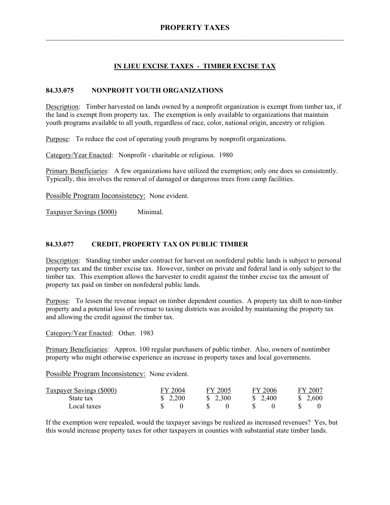# **IN LIEU EXCISE TAXES - TIMBER EXCISE TAX**

### **84.33.075 NONPROFIT YOUTH ORGANIZATIONS**

Description: Timber harvested on lands owned by a nonprofit organization is exempt from timber tax, if the land is exempt from property tax. The exemption is only available to organizations that maintain youth programs available to all youth, regardless of race, color, national origin, ancestry or religion.

Purpose: To reduce the cost of operating youth programs by nonprofit organizations.

Category/Year Enacted: Nonprofit - charitable or religious. 1980

Primary Beneficiaries: A few organizations have utilized the exemption; only one does so consistently. Typically, this involves the removal of damaged or dangerous trees from camp facilities.

Possible Program Inconsistency: None evident.

Taxpayer Savings (\$000) Minimal.

#### **84.33.077 CREDIT, PROPERTY TAX ON PUBLIC TIMBER**

Description: Standing timber under contract for harvest on nonfederal public lands is subject to personal property tax and the timber excise tax. However, timber on private and federal land is only subject to the timber tax. This exemption allows the harvester to credit against the timber excise tax the amount of property tax paid on timber on nonfederal public lands.

Purpose: To lessen the revenue impact on timber dependent counties. A property tax shift to non-timber property and a potential loss of revenue to taxing districts was avoided by maintaining the property tax and allowing the credit against the timber tax.

Category/Year Enacted: Other. 1983

Primary Beneficiaries: Approx. 100 regular purchasers of public timber. Also, owners of nontimber property who might otherwise experience an increase in property taxes and local governments.

Possible Program Inconsistency: None evident.

| <b>Taxpayer Savings (\$000)</b> | FY 2004 | FY 2005  | FY 2006  | FY 2007  |
|---------------------------------|---------|----------|----------|----------|
| State tax                       | \$2,200 | \$ 2.300 | \$ 2.400 | \$ 2.600 |
| Local taxes                     |         |          |          |          |

If the exemption were repealed, would the taxpayer savings be realized as increased revenues? Yes, but this would increase property taxes for other taxpayers in counties with substantial state timber lands.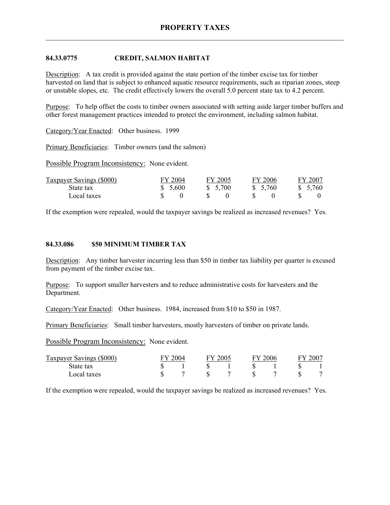## **84.33.0775 CREDIT, SALMON HABITAT**

Description: A tax credit is provided against the state portion of the timber excise tax for timber harvested on land that is subject to enhanced aquatic resource requirements, such as riparian zones, steep or unstable slopes, etc. The credit effectively lowers the overall 5.0 percent state tax to 4.2 percent.

Purpose: To help offset the costs to timber owners associated with setting aside larger timber buffers and other forest management practices intended to protect the environment, including salmon habitat.

Category/Year Enacted: Other business. 1999

Primary Beneficiaries: Timber owners (and the salmon)

Possible Program Inconsistency: None evident.

| <b>Taxpayer Savings (\$000)</b> | FY 2004 | FY 2005 | FY 2006  | FY 2007  |
|---------------------------------|---------|---------|----------|----------|
| State tax                       | \$5,600 | \$5,700 | \$ 5,760 | \$ 5.760 |
| Local taxes                     |         |         |          |          |

If the exemption were repealed, would the taxpayer savings be realized as increased revenues? Yes.

#### **84.33.086 \$50 MINIMUM TIMBER TAX**

Description: Any timber harvester incurring less than \$50 in timber tax liability per quarter is excused from payment of the timber excise tax.

Purpose: To support smaller harvesters and to reduce administrative costs for harvesters and the Department.

Category/Year Enacted: Other business. 1984, increased from \$10 to \$50 in 1987.

Primary Beneficiaries: Small timber harvesters, mostly harvesters of timber on private lands.

Possible Program Inconsistency: None evident.

| Taxpayer Savings (\$000) | 2004 |  | Y 2005 <sup>-</sup> |  | 2006 |  | $-200^{\circ}$ |  |
|--------------------------|------|--|---------------------|--|------|--|----------------|--|
| State tax                |      |  |                     |  |      |  |                |  |
| Local taxes              |      |  |                     |  |      |  |                |  |

If the exemption were repealed, would the taxpayer savings be realized as increased revenues? Yes.